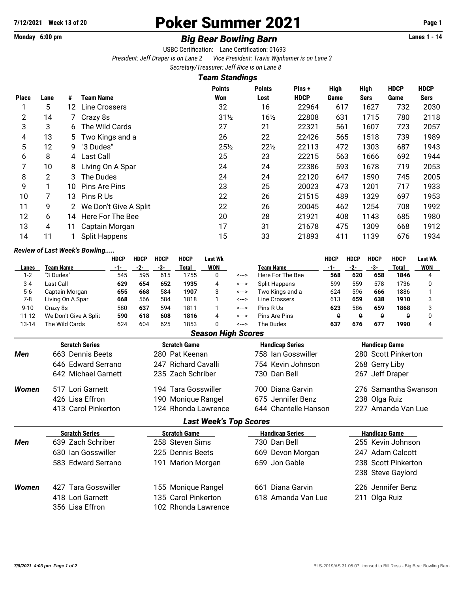# **7/12/2021 Week 13 of 20 Poker Summer 2021 Page 1**

## Monday 6:00 pm *Big Bear Bowling Barn* **Lanes 1 - 14**

USBC Certification: Lane Certification: 01693 *President: Jeff Draper is on Lane 2 Vice President: Travis Wijnhamer is on Lane 3 Secretary/Treasurer: Jeff Rice is on Lane 8*

*Team Standings*

|                |      |                 |                       | I Galli Əldilüliyə   |                       |                      |                     |                            |                            |                     |
|----------------|------|-----------------|-----------------------|----------------------|-----------------------|----------------------|---------------------|----------------------------|----------------------------|---------------------|
| <b>Place</b>   | Lane | #               | Team Name             | <b>Points</b><br>Won | <b>Points</b><br>Lost | Pins+<br><b>HDCP</b> | <b>High</b><br>Game | <b>High</b><br><b>Sers</b> | <b>HDCP</b><br><b>Game</b> | <b>HDCP</b><br>Sers |
|                | 5    | 12 <sup>2</sup> | <b>Line Crossers</b>  | 32                   | 16                    | 22964                | 617                 | 1627                       | 732                        | 2030                |
| $\overline{2}$ | 14   |                 | Crazy 8s              | $31\frac{1}{2}$      | $16\frac{1}{2}$       | 22808                | 631                 | 1715                       | 780                        | 2118                |
| 3              | 3    | 6               | The Wild Cards        | 27                   | 21                    | 22321                | 561                 | 1607                       | 723                        | 2057                |
| 4              | 13   | 5.              | Two Kings and a       | 26                   | 22                    | 22426                | 565                 | 1518                       | 739                        | 1989                |
| 5              | 12   | 9               | "3 Dudes"             | $25\frac{1}{2}$      | $22\frac{1}{2}$       | 22113                | 472                 | 1303                       | 687                        | 1943                |
| 6              | 8    | 4               | <b>Last Call</b>      | 25                   | 23                    | 22215                | 563                 | 1666                       | 692                        | 1944                |
| 7              | 10   | 8               | Living On A Spar      | 24                   | 24                    | 22386                | 593                 | 1678                       | 719                        | 2053                |
| 8              | 2    | 3               | The Dudes             | 24                   | 24                    | 22120                | 647                 | 1590                       | 745                        | 2005                |
| 9              |      | 10              | Pins Are Pins         | 23                   | 25                    | 20023                | 473                 | 1201                       | 717                        | 1933                |
| 10             |      | 13              | Pins R Us             | 22                   | 26                    | 21515                | 489                 | 1329                       | 697                        | 1953                |
| 11             | 9    |                 | We Don't Give A Split | 22                   | 26                    | 20045                | 462                 | 1254                       | 708                        | 1992                |
| 12             | 6    | 14              | Here For The Bee      | 20                   | 28                    | 21921                | 408                 | 1143                       | 685                        | 1980                |
| 13             | 4    | 11              | Captain Morgan        | 17                   | 31                    | 21678                | 475                 | 1309                       | 668                        | 1912                |
| 14             | 11   |                 | <b>Split Happens</b>  | 15                   | 33                    | 21893                | 411                 | 1139                       | 676                        | 1934                |
|                |      |                 |                       |                      |                       |                      |                     |                            |                            |                     |

### *Review of Last Week's Bowling.....*

|           |                       | <b>HDCP</b> | <b>HDCP</b> | <b>HDCP</b> | <b>HDCP</b> | Last Wk    |       |                  | <b>HDCP</b> | HDCP     | <b>HDCP</b> | <b>HDCP</b> | <b>Last Wk</b> |
|-----------|-----------------------|-------------|-------------|-------------|-------------|------------|-------|------------------|-------------|----------|-------------|-------------|----------------|
| Lanes     | Team Name             | -1-         | -2-         | -3-         | Total       | <b>WON</b> |       | <b>Team Name</b> | -1-         | -2-      | -3-         | Total       | WON            |
| $1-2$     | "3 Dudes"             | 545         | 595         | 615         | 1755        |            | <---> | Here For The Bee | 568         | 620      | 658         | 1846        |                |
| $3 - 4$   | Last Call             | 629         | 654         | 652         | 1935        | 4          | <-->  | Split Happens    | 599         | 559      | 578         | 1736        |                |
| $5-6$     | Captain Morgan        | 655         | 668         | 584         | 1907        |            | <-->  | Two Kings and a  | 624         | 596      | 666         | 1886        |                |
| 7-8       | Living On A Spar      | 668         | 566         | 584         | 1818        |            | <-->  | Line Crossers    | 613         | 659      | 638         | 1910        |                |
| $9 - 10$  | Crazv 8s              | 580         | 637         | 594         | 1811        |            | <---> | Pins R Us        | 623         | 586      | 659         | 1868        |                |
| $11 - 12$ | We Don't Give A Split | 590         | 618         | 608         | 1816        | 4          | <---> | Pins Are Pins    |             | $\theta$ | θ           | A           |                |
| 13-14     | The Wild Cards        | 624         | 604         | 625         | 1853        |            | <-->  | The Dudes        | 637         | 676      | 677         | 1990        |                |

### *Season High Scores*

|       | <b>Scratch Series</b> | <b>Scratch Game</b>           | <b>Handicap Series</b> | <b>Handicap Game</b> |  |  |  |  |  |
|-------|-----------------------|-------------------------------|------------------------|----------------------|--|--|--|--|--|
| Men   | 663 Dennis Beets      | 280 Pat Keenan                | 758 Ian Gosswiller     | 280 Scott Pinkerton  |  |  |  |  |  |
|       | 646 Edward Serrano    | 247 Richard Cavalli           | 754 Kevin Johnson      | 268 Gerry Liby       |  |  |  |  |  |
|       | 642 Michael Garnett   | 235 Zach Schriber             | 730 Dan Bell           | 267 Jeff Draper      |  |  |  |  |  |
| Women | 517 Lori Garnett      | 194 Tara Gosswiller           | 700 Diana Garvin       | 276 Samantha Swanson |  |  |  |  |  |
|       | 426 Lisa Effron       | 190 Monique Rangel            | 675 Jennifer Benz      | 238 Olga Ruiz        |  |  |  |  |  |
|       | 413 Carol Pinkerton   | 124 Rhonda Lawrence           | 644 Chantelle Hanson   | 227 Amanda Van Lue   |  |  |  |  |  |
|       |                       | <b>Last Week's Top Scores</b> |                        |                      |  |  |  |  |  |
|       | <b>Scratch Series</b> | <b>Scratch Game</b>           | <b>Handicap Series</b> | <b>Handicap Game</b> |  |  |  |  |  |
| Men   | 639 Zach Schriber     | 258 Steven Sims               | 730 Dan Bell           | 255 Kevin Johnson    |  |  |  |  |  |
|       | 630 Ian Gosswiller    | 225 Dennis Beets              | 669 Devon Morgan       | 247 Adam Calcott     |  |  |  |  |  |
|       | 583 Edward Serrano    | 191 Marlon Morgan             | 659 Jon Gable          | 238 Scott Pinkerton  |  |  |  |  |  |
|       |                       |                               |                        | 238 Steve Gaylord    |  |  |  |  |  |
| Women | 427 Tara Gosswiller   | 155 Monique Rangel            | Diana Garvin<br>661    | 226 Jennifer Benz    |  |  |  |  |  |
|       | 418 Lori Garnett      | 135 Carol Pinkerton           | 618 Amanda Van Lue     | 211 Olga Ruiz        |  |  |  |  |  |